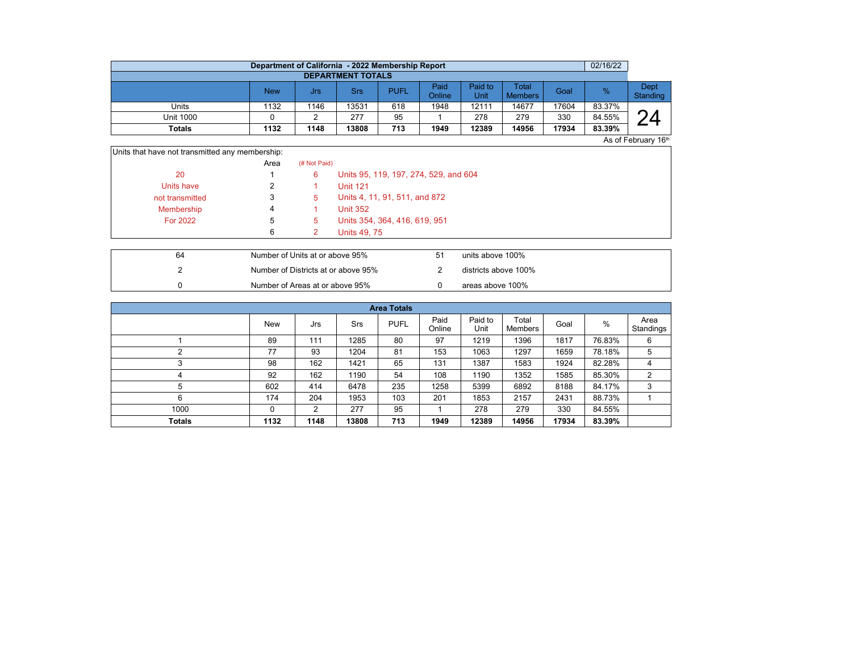|                          | Department of California - 2022 Membership Report |      |       |             |                |                        |                         |       | 02/16/22      |                  |  |  |  |  |
|--------------------------|---------------------------------------------------|------|-------|-------------|----------------|------------------------|-------------------------|-------|---------------|------------------|--|--|--|--|
| <b>DEPARTMENT TOTALS</b> |                                                   |      |       |             |                |                        |                         |       |               |                  |  |  |  |  |
|                          | New                                               | Jrs  | Srs   | <b>PUFL</b> | Paid<br>Online | Paid to<br><b>Unit</b> | Total<br><b>Members</b> | Goal  | $\frac{9}{6}$ | Dept<br>Standing |  |  |  |  |
| Units                    | 1132                                              | 1146 | 13531 | 618         | 1948           | 12111                  | 14677                   | 17604 | 83.37%        |                  |  |  |  |  |
| <b>Unit 1000</b>         |                                                   |      | 277   | 95          |                | 278                    | 279                     | 330   | 84.55%        | ⌒                |  |  |  |  |
| Totals                   | 1132                                              | 1148 | 13808 | 713         | 1949           | 12389                  | 14956                   | 17934 | 83.39%        |                  |  |  |  |  |

As of February 16th

| Units that have not transmitted any membership: |      |              |                                       |
|-------------------------------------------------|------|--------------|---------------------------------------|
|                                                 | Area | (# Not Paid) |                                       |
| 20                                              |      | 6            | Units 95, 119, 197, 274, 529, and 604 |
| Units have                                      |      |              | <b>Unit 121</b>                       |
| not transmitted                                 | 3    | 5            | Units 4, 11, 91, 511, and 872         |
| Membership                                      | 4    |              | <b>Unit 352</b>                       |
| <b>For 2022</b>                                 | 5    | 5.           | Units 354, 364, 416, 619, 951         |
|                                                 | 6    |              | <b>Units 49, 75</b>                   |
|                                                 |      |              |                                       |

| 64 | Number of Units at or above 95%     | units above 100%     |
|----|-------------------------------------|----------------------|
|    | Number of Districts at or above 95% | districts above 100% |
|    | Number of Areas at or above 95%     | areas above 100%     |

| <b>Area Totals</b> |            |      |       |             |                |                 |                  |       |        |                   |  |  |  |
|--------------------|------------|------|-------|-------------|----------------|-----------------|------------------|-------|--------|-------------------|--|--|--|
|                    | <b>New</b> | Jrs  | Srs   | <b>PUFL</b> | Paid<br>Online | Paid to<br>Unit | Total<br>Members | Goal  | %      | Area<br>Standings |  |  |  |
|                    | 89         | 111  | 1285  | 80          | 97             | 1219            | 1396             | 1817  | 76.83% | 6                 |  |  |  |
|                    | 77         | 93   | 1204  | 81          | 153            | 1063            | 1297             | 1659  | 78.18% | 5                 |  |  |  |
| $\sqrt{2}$         | 98         | 162  | 1421  | 65          | 131            | 1387            | 1583             | 1924  | 82.28% | 4                 |  |  |  |
| 4                  | 92         | 162  | 1190  | 54          | 108            | 1190            | 1352             | 1585  | 85.30% | 2                 |  |  |  |
| 5                  | 602        | 414  | 6478  | 235         | 1258           | 5399            | 6892             | 8188  | 84.17% | 3                 |  |  |  |
| 6                  | 174        | 204  | 1953  | 103         | 201            | 1853            | 2157             | 2431  | 88.73% |                   |  |  |  |
| 1000               | 0          | 2    | 277   | 95          |                | 278             | 279              | 330   | 84.55% |                   |  |  |  |
| <b>Totals</b>      | 1132       | 1148 | 13808 | 713         | 1949           | 12389           | 14956            | 17934 | 83.39% |                   |  |  |  |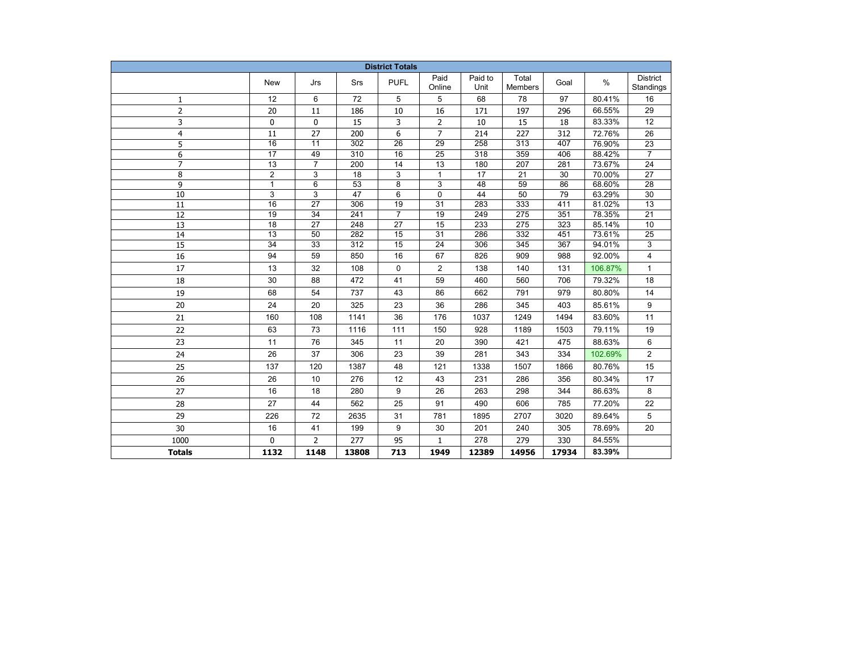| <b>District Totals</b> |                       |                 |                  |                 |                       |                 |                         |            |                  |                              |
|------------------------|-----------------------|-----------------|------------------|-----------------|-----------------------|-----------------|-------------------------|------------|------------------|------------------------------|
|                        | <b>New</b>            | Jrs             | Srs              | <b>PUFL</b>     | Paid<br>Online        | Paid to<br>Unit | Total<br><b>Members</b> | Goal       | $\%$             | <b>District</b><br>Standings |
| 1                      | 12                    | 6               | 72               | 5               | 5                     | 68              | 78                      | 97         | 80.41%           | 16                           |
| $\overline{2}$         | 20                    | 11              | 186              | 10              | 16                    | 171             | 197                     | 296        | 66.55%           | 29                           |
| 3                      | 0                     | $\mathbf 0$     | 15               | 3               | $\overline{2}$        | 10              | 15                      | 18         | 83.33%           | $\overline{12}$              |
| $\overline{4}$         | 11                    | 27              | 200              | 6               | $\overline{7}$        | 214             | 227                     | 312        | 72.76%           | 26                           |
| 5                      | $\overline{16}$       | $\overline{11}$ | $\overline{302}$ | $\overline{26}$ | $\overline{29}$       | 258             | 313                     | 407        | 76.90%           | $\overline{23}$              |
| 6                      | $\overline{17}$       | 49              | 310              | 16              | 25                    | 318             | 359                     | 406        | 88.42%           | $\overline{7}$               |
| $\overline{7}$         | $\overline{13}$       | $\overline{7}$  | 200              | 14              | $\overline{13}$       | 180             | $\overline{207}$        | 281        | 73.67%           | $\overline{24}$              |
| 8                      | $\overline{2}$        | 3               | $\overline{18}$  | 3               | $\mathbf{1}$          | 17              | $\overline{21}$         | 30         | 70.00%           | $\overline{27}$              |
| 9                      | $\mathbf{1}$          | 6               | 53               | 8               | 3                     | 48              | 59                      | 86         | 68.60%           | 28                           |
| 10                     | 3                     | 3               | 47               | 6               | 0                     | 44              | 50                      | 79         | 63.29%           | 30                           |
| 11                     | 16                    | 27              | 306              | 19              | 31                    | 283             | 333                     | 411        | 81.02%           | 13                           |
| 12                     | 19                    | 34              | 241              | $\overline{7}$  | 19                    | 249             | 275                     | 351        | 78.35%           | 21                           |
| 13                     | 18<br>$\overline{13}$ | 27<br>50        | 248<br>282       | 27<br>15        | 15<br>$\overline{31}$ | 233<br>286      | 275<br>332              | 323<br>451 | 85.14%<br>73.61% | 10                           |
| 14<br>$\overline{15}$  | $\overline{34}$       | $\overline{33}$ | 312              | $\overline{15}$ | $\overline{24}$       | 306             | 345                     | 367        | 94.01%           | $\overline{25}$<br>3         |
|                        | 94                    | 59              | 850              | 16              | 67                    | 826             | 909                     | 988        | 92.00%           | 4                            |
| 16                     | 13                    | 32              | 108              |                 |                       | 138             | 140                     |            | 106.87%          | $\mathbf{1}$                 |
| 17                     |                       |                 |                  | 0               | $\overline{2}$        |                 |                         | 131        |                  |                              |
| 18                     | 30                    | 88              | 472              | 41              | 59                    | 460             | 560                     | 706        | 79.32%           | 18                           |
| 19                     | 68                    | 54              | 737              | 43              | 86                    | 662             | 791                     | 979        | 80.80%           | 14                           |
| 20                     | 24                    | 20              | 325              | 23              | 36                    | 286             | 345                     | 403        | 85.61%           | 9                            |
| 21                     | 160                   | 108             | 1141             | 36              | 176                   | 1037            | 1249                    | 1494       | 83.60%           | 11                           |
| 22                     | 63                    | 73              | 1116             | 111             | 150                   | 928             | 1189                    | 1503       | 79.11%           | 19                           |
| 23                     | 11                    | 76              | 345              | 11              | 20                    | 390             | 421                     | 475        | 88.63%           | 6                            |
| 24                     | 26                    | 37              | 306              | 23              | 39                    | 281             | 343                     | 334        | 102.69%          | $\overline{2}$               |
| 25                     | 137                   | 120             | 1387             | 48              | 121                   | 1338            | 1507                    | 1866       | 80.76%           | 15                           |
| 26                     | 26                    | 10              | 276              | 12              | 43                    | 231             | 286                     | 356        | 80.34%           | 17                           |
| 27                     | 16                    | 18              | 280              | 9               | 26                    | 263             | 298                     | 344        | 86.63%           | 8                            |
| 28                     | 27                    | 44              | 562              | 25              | 91                    | 490             | 606                     | 785        | 77.20%           | 22                           |
| 29                     | 226                   | 72              | 2635             | 31              | 781                   | 1895            | 2707                    | 3020       | 89.64%           | 5                            |
| 30                     | 16                    | 41              | 199              | 9               | 30                    | 201             | 240                     | 305        | 78.69%           | 20                           |
| 1000                   | 0                     | $\overline{2}$  | 277              | 95              | $\mathbf{1}$          | 278             | 279                     | 330        | 84.55%           |                              |
| <b>Totals</b>          | 1132                  | 1148            | 13808            | 713             | 1949                  | 12389           | 14956                   | 17934      | 83.39%           |                              |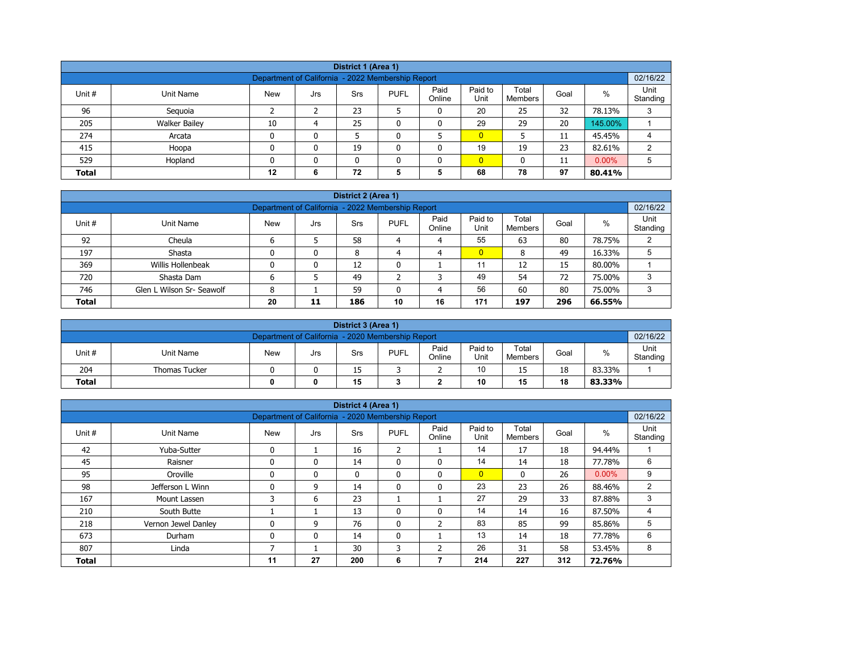| District 1 (Area 1)                                                                                                                                        |                                                                                 |    |   |    |   |              |                |    |    |         |   |  |  |
|------------------------------------------------------------------------------------------------------------------------------------------------------------|---------------------------------------------------------------------------------|----|---|----|---|--------------|----------------|----|----|---------|---|--|--|
| 02/16/22<br>Department of California - 2022 Membership Report                                                                                              |                                                                                 |    |   |    |   |              |                |    |    |         |   |  |  |
| Paid<br>Paid to<br>Total<br>$\%$<br>Unit #<br><b>PUFL</b><br>Unit Name<br>Goal<br><b>New</b><br>Srs<br>Jrs<br>Standing<br>Online<br>Unit<br><b>Members</b> |                                                                                 |    |   |    |   |              |                |    |    |         |   |  |  |
| 96                                                                                                                                                         | Seguoia                                                                         |    |   | 23 |   | 0            | 20             | 25 | 32 | 78.13%  | 3 |  |  |
| 205                                                                                                                                                        | <b>Walker Bailey</b>                                                            | 10 | 4 | 25 |   | 0            | 29             | 29 | 20 | 145.00% |   |  |  |
| 274                                                                                                                                                        | Arcata                                                                          | 0  | 0 |    |   |              | $\overline{0}$ |    | 11 | 45.45%  | 4 |  |  |
| 415                                                                                                                                                        | Hoopa                                                                           | 0  | 0 | 19 | ٥ | $\mathbf{0}$ | 19             | 19 | 23 | 82.61%  | 2 |  |  |
| 529                                                                                                                                                        | $0.00\%$<br>$\overline{0}$<br>5<br>Hopland<br>0<br>$\mathbf{0}$<br>11<br>n<br>0 |    |   |    |   |              |                |    |    |         |   |  |  |
| <b>Total</b>                                                                                                                                               |                                                                                 | 12 | 6 | 72 | 5 | 5            | 68             | 78 | 97 | 80.41%  |   |  |  |

|              |                                                                                                                                                          |  |   | District 2 (Area 1) |   |   |                |    |    |        |   |  |  |  |
|--------------|----------------------------------------------------------------------------------------------------------------------------------------------------------|--|---|---------------------|---|---|----------------|----|----|--------|---|--|--|--|
|              | 02/16/22<br>Department of California - 2022 Membership Report                                                                                            |  |   |                     |   |   |                |    |    |        |   |  |  |  |
| Unit #       | Unit<br>Paid<br>Paid to<br>Total<br>$\%$<br><b>PUFL</b><br><b>New</b><br>Unit Name<br>Goal<br><b>Srs</b><br>Jrs<br>Online<br>Unit<br>Standing<br>Members |  |   |                     |   |   |                |    |    |        |   |  |  |  |
| 92           | Cheula                                                                                                                                                   |  |   | 58                  | 4 | 4 | 55             | 63 | 80 | 78.75% |   |  |  |  |
| 197          | Shasta                                                                                                                                                   |  | 0 | 8                   | 4 | 4 | $\overline{0}$ | 8  | 49 | 16.33% |   |  |  |  |
| 369          | Willis Hollenbeak                                                                                                                                        |  | 0 | 12                  | 0 |   | 11             | 12 | 15 | 80.00% |   |  |  |  |
| 720          | Shasta Dam                                                                                                                                               |  |   | 49                  |   | っ | 49             | 54 | 72 | 75.00% | 3 |  |  |  |
| 746          | 56<br>80<br>Glen L Wilson Sr- Seawolf<br>60<br>59<br>75.00%<br>3<br>8<br>4                                                                               |  |   |                     |   |   |                |    |    |        |   |  |  |  |
| <b>Total</b> | 171<br>20<br>10<br>296<br>16<br>186<br>197<br>66.55%<br>11                                                                                               |  |   |                     |   |   |                |    |    |        |   |  |  |  |

|                                                               | District 3 (Area 1)                 |            |     |     |             |                |                 |                         |      |        |                  |  |  |
|---------------------------------------------------------------|-------------------------------------|------------|-----|-----|-------------|----------------|-----------------|-------------------------|------|--------|------------------|--|--|
| 02/16/22<br>Department of California - 2020 Membership Report |                                     |            |     |     |             |                |                 |                         |      |        |                  |  |  |
| Unit#                                                         | Unit Name                           | <b>New</b> | Jrs | Srs | <b>PUFL</b> | Paid<br>Online | Paid to<br>Unit | Total<br><b>Members</b> | Goal | %      | Unit<br>Standing |  |  |
| 204                                                           | <b>Thomas Tucker</b>                |            |     | 15  |             |                | 10              | 15                      | 18   | 83.33% |                  |  |  |
| <b>Total</b>                                                  | 15<br>10<br>18<br>15<br>83.33%<br>0 |            |     |     |             |                |                 |                         |      |        |                  |  |  |

|              |                     |                                                   |     | District 4 (Area 1) |                |                |                 |                  |      |          |                  |
|--------------|---------------------|---------------------------------------------------|-----|---------------------|----------------|----------------|-----------------|------------------|------|----------|------------------|
|              |                     | Department of California - 2020 Membership Report |     |                     |                |                |                 |                  |      |          | 02/16/22         |
| Unit #       | <b>Unit Name</b>    | <b>New</b>                                        | Jrs | Srs                 | <b>PUFL</b>    | Paid<br>Online | Paid to<br>Unit | Total<br>Members | Goal | $\%$     | Unit<br>Standing |
| 42           | Yuba-Sutter         | $\mathbf{0}$                                      |     | 16                  | $\overline{2}$ |                | 14              | 17               | 18   | 94.44%   |                  |
| 45           | Raisner             | $\mathbf{0}$                                      | 0   | 14                  | 0              | $\mathbf{0}$   | 14              | 14               | 18   | 77.78%   | 6                |
| 95           | Oroville            | $\mathbf{0}$                                      | 0   | $\mathbf{0}$        | $\mathbf{0}$   | $\mathbf{0}$   | $\overline{0}$  | $\mathbf{0}$     | 26   | $0.00\%$ | 9                |
| 98           | Jefferson L Winn    | $\Omega$                                          | 9   | 14                  | 0              | 0              | 23              | 23               | 26   | 88.46%   | $\overline{2}$   |
| 167          | Mount Lassen        | 3                                                 | 6   | 23                  |                |                | 27              | 29               | 33   | 87.88%   | 3                |
| 210          | South Butte         |                                                   |     | 13                  | $\mathbf{0}$   | $\mathbf{0}$   | 14              | 14               | 16   | 87.50%   | 4                |
| 218          | Vernon Jewel Danley |                                                   | 9   | 76                  | 0              | 2              | 83              | 85               | 99   | 85.86%   | 5                |
| 673          | Durham              | $\mathbf{0}$                                      | 0   | 14                  | $\mathbf{0}$   |                | 13              | 14               | 18   | 77.78%   | 6                |
| 807          | Linda               |                                                   |     | 30                  | 3              | 2              | 26              | 31               | 58   | 53.45%   | 8                |
| <b>Total</b> |                     | 11                                                | 27  | 200                 | 6              |                | 214             | 227              | 312  | 72.76%   |                  |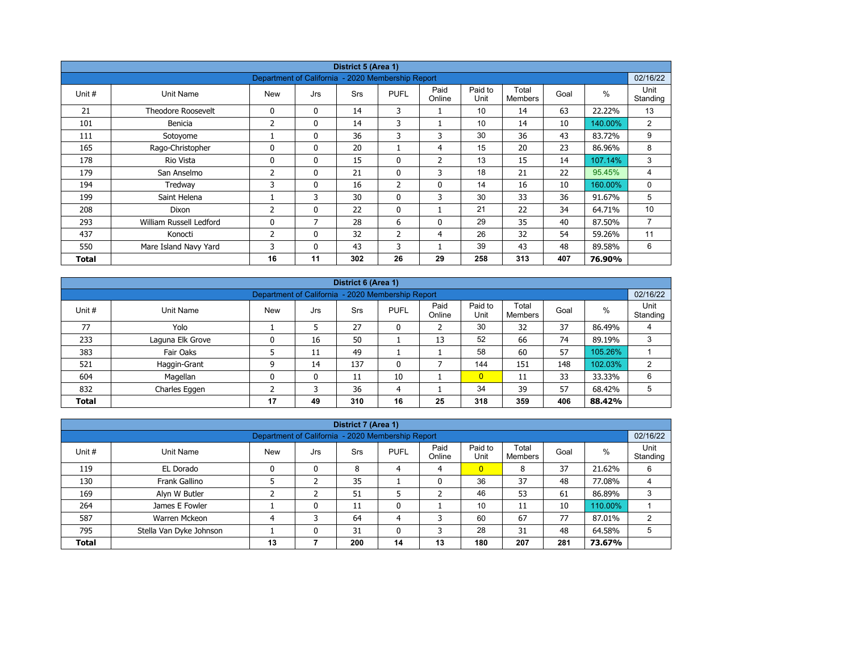|        |                           |                                                   |              | District 5 (Area 1) |                |                |                 |                         |      |         |                  |
|--------|---------------------------|---------------------------------------------------|--------------|---------------------|----------------|----------------|-----------------|-------------------------|------|---------|------------------|
|        |                           | Department of California - 2020 Membership Report |              |                     |                |                |                 |                         |      |         | 02/16/22         |
| Unit # | Unit Name                 | <b>New</b>                                        | Jrs          | <b>Srs</b>          | <b>PUFL</b>    | Paid<br>Online | Paid to<br>Unit | Total<br><b>Members</b> | Goal | $\%$    | Unit<br>Standing |
| 21     | <b>Theodore Roosevelt</b> | 0                                                 | $\mathbf{0}$ | 14                  | 3              |                | 10              | 14                      | 63   | 22.22%  | 13               |
| 101    | Benicia                   | 2                                                 | 0            | 14                  | 3              |                | 10              | 14                      | 10   | 140.00% | $\overline{2}$   |
| 111    | Sotoyome                  |                                                   | $\mathbf{0}$ | 36                  | 3              | 3              | 30              | 36                      | 43   | 83.72%  | 9                |
| 165    | Rago-Christopher          | $\Omega$                                          | $\mathbf{0}$ | 20                  |                | 4              | 15              | 20                      | 23   | 86.96%  | 8                |
| 178    | Rio Vista                 | 0                                                 | $\mathbf{0}$ | 15                  | 0              | $\overline{2}$ | 13              | 15                      | 14   | 107.14% | 3                |
| 179    | San Anselmo               | 2                                                 | $\mathbf{0}$ | 21                  | $\mathbf{0}$   | 3              | 18              | 21                      | 22   | 95.45%  | 4                |
| 194    | Tredway                   | 3                                                 | 0            | 16                  | $\overline{2}$ | $\mathbf 0$    | 14              | 16                      | 10   | 160.00% | 0                |
| 199    | Saint Helena              |                                                   | 3            | 30                  | $\mathbf{0}$   | 3              | 30              | 33                      | 36   | 91.67%  | 5                |
| 208    | Dixon                     | 2                                                 | 0            | 22                  | $\mathbf{0}$   |                | 21              | 22                      | 34   | 64.71%  | 10               |
| 293    | William Russell Ledford   | 0                                                 | 7            | 28                  | 6              | 0              | 29              | 35                      | 40   | 87.50%  | $\overline{7}$   |
| 437    | Konocti                   | 2                                                 | $\mathbf{0}$ | 32                  | $\overline{2}$ | 4              | 26              | 32                      | 54   | 59.26%  | 11               |
| 550    | Mare Island Navy Yard     | 3                                                 | $\mathbf{0}$ | 43                  | 3              |                | 39              | 43                      | 48   | 89.58%  | 6                |
| Total  |                           | 16                                                | 11           | 302                 | 26             | 29             | 258             | 313                     | 407  | 76.90%  |                  |

|              | District 6 (Area 1)                                                                                                                              |    |    |     |                                                   |    |                |     |     |         |          |  |  |  |
|--------------|--------------------------------------------------------------------------------------------------------------------------------------------------|----|----|-----|---------------------------------------------------|----|----------------|-----|-----|---------|----------|--|--|--|
|              |                                                                                                                                                  |    |    |     | Department of California - 2020 Membership Report |    |                |     |     |         | 02/16/22 |  |  |  |
| Unit #       | Paid<br>Paid to<br>Total<br>$\%$<br><b>PUFL</b><br>Goal<br><b>Srs</b><br>Unit Name<br><b>New</b><br>Jrs<br>Unit<br>Standing<br>Online<br>Members |    |    |     |                                                   |    |                |     |     |         |          |  |  |  |
| 77           | Yolo                                                                                                                                             |    | 5  | 27  | 0                                                 |    | 30             | 32  | 37  | 86.49%  | 4        |  |  |  |
| 233          | Laguna Elk Grove                                                                                                                                 | 0  | 16 | 50  |                                                   | 13 | 52             | 66  | 74  | 89.19%  | 3        |  |  |  |
| 383          | Fair Oaks                                                                                                                                        |    | 11 | 49  |                                                   |    | 58             | 60  | 57  | 105.26% |          |  |  |  |
| 521          | Haggin-Grant                                                                                                                                     | ٩  | 14 | 137 | 0                                                 |    | 144            | 151 | 148 | 102.03% | 2        |  |  |  |
| 604          | Magellan                                                                                                                                         | 0  | 0  | 11  | 10                                                |    | $\overline{0}$ | 11  | 33  | 33.33%  | 6        |  |  |  |
| 832          | Charles Eggen                                                                                                                                    |    |    | 36  | 4                                                 |    | 34             | 39  | 57  | 68.42%  | 5        |  |  |  |
| <b>Total</b> |                                                                                                                                                  | 17 | 49 | 310 | 16                                                | 25 | 318            | 359 | 406 | 88.42%  |          |  |  |  |

|              |                                                                               |                                                   |     | District 7 (Area 1) |             |                |                 |                  |      |         |                  |
|--------------|-------------------------------------------------------------------------------|---------------------------------------------------|-----|---------------------|-------------|----------------|-----------------|------------------|------|---------|------------------|
|              |                                                                               | Department of California - 2020 Membership Report |     |                     |             |                |                 |                  |      |         | 02/16/22         |
| Unit #       | Unit Name                                                                     | <b>New</b>                                        | Jrs | Srs                 | <b>PUFL</b> | Paid<br>Online | Paid to<br>Unit | Total<br>Members | Goal | $\%$    | Unit<br>Standing |
| 119          | EL Dorado                                                                     |                                                   | 0   | 8                   | 4           | 4              | $\overline{0}$  | 8                | 37   | 21.62%  | 6                |
| 130          | Frank Gallino                                                                 |                                                   |     | 35                  |             | 0              | 36              | 37               | 48   | 77.08%  | 4                |
| 169          | Alyn W Butler                                                                 |                                                   |     | 51                  |             |                | 46              | 53               | 61   | 86.89%  | 3                |
| 264          | James E Fowler                                                                |                                                   | 0   | 11                  | 0           |                | 10              | 11               | 10   | 110.00% |                  |
| 587          | Warren Mckeon                                                                 |                                                   | 3   | 64                  | 4           | 3              | 60              | 67               | 77   | 87.01%  |                  |
| 795          | 28<br>48<br>Stella Van Dyke Johnson<br>31<br>31<br>0<br>3<br>64.58%<br>0<br>5 |                                                   |     |                     |             |                |                 |                  |      |         |                  |
| <b>Total</b> |                                                                               | 13                                                |     | 200                 | 14          | 13             | 180             | 207              | 281  | 73.67%  |                  |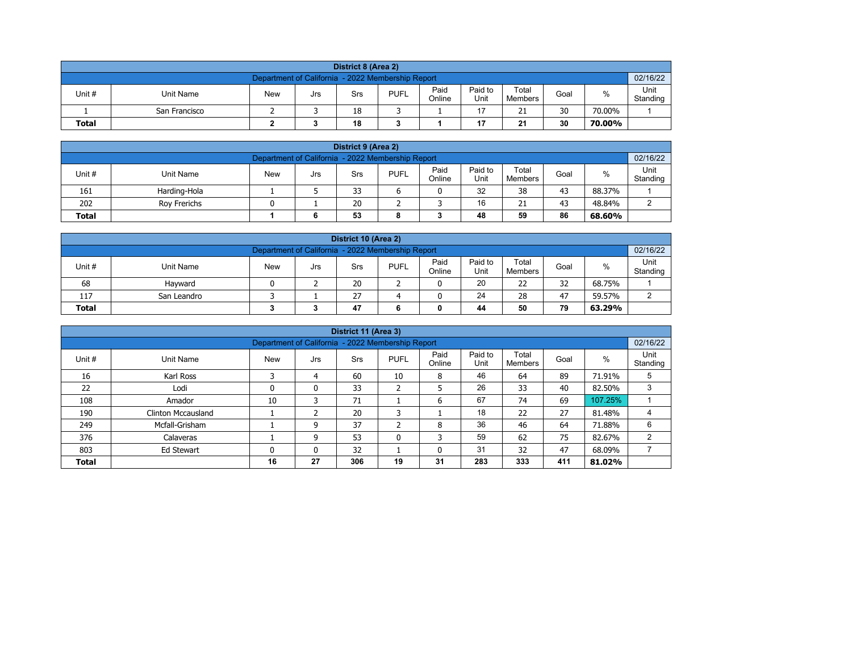|                                                                                                                                                         | District 8 (Area 2)                                           |  |  |    |  |  |    |    |    |        |  |  |  |  |
|---------------------------------------------------------------------------------------------------------------------------------------------------------|---------------------------------------------------------------|--|--|----|--|--|----|----|----|--------|--|--|--|--|
|                                                                                                                                                         | 02/16/22<br>Department of California - 2022 Membership Report |  |  |    |  |  |    |    |    |        |  |  |  |  |
| Paid<br>Paid to<br>Total<br><b>PUFL</b><br>%<br>Unit #<br>Unit Name<br><b>New</b><br>Goal<br>Srs<br>Jrs<br>Unit<br>Online<br>Standing<br><b>Members</b> |                                                               |  |  |    |  |  |    |    |    |        |  |  |  |  |
|                                                                                                                                                         | San Francisco                                                 |  |  | 18 |  |  | 17 | 21 | 30 | 70.00% |  |  |  |  |
| 30<br>18<br>21<br>17<br><b>Total</b><br>70.00%                                                                                                          |                                                               |  |  |    |  |  |    |    |    |        |  |  |  |  |

| District 9 (Area 2)                                                                                                                              |                                                     |  |   |    |   |  |    |    |    |        |  |  |  |
|--------------------------------------------------------------------------------------------------------------------------------------------------|-----------------------------------------------------|--|---|----|---|--|----|----|----|--------|--|--|--|
| 02/16/22<br>Department of California - 2022 Membership Report                                                                                    |                                                     |  |   |    |   |  |    |    |    |        |  |  |  |
| Paid<br>Paid to<br>Total<br>Unit #<br><b>PUFL</b><br>%<br><b>New</b><br>Unit Name<br>Goal<br>Srs<br>Jrs<br>Standing<br>Online<br>Unit<br>Members |                                                     |  |   |    |   |  |    |    |    |        |  |  |  |
| 161                                                                                                                                              | Harding-Hola                                        |  |   | 33 |   |  | 32 | 38 | 43 | 88.37% |  |  |  |
| 202                                                                                                                                              | 20<br>16<br>43<br>21<br>48.84%<br>Rov Frerichs<br>ົ |  |   |    |   |  |    |    |    |        |  |  |  |
| <b>Total</b>                                                                                                                                     |                                                     |  | 6 | 53 | 8 |  | 48 | 59 | 86 | 68.60% |  |  |  |

| District 10 (Area 2)                                                                                                                                |                                                    |  |  |    |  |  |    |    |    |        |  |  |  |
|-----------------------------------------------------------------------------------------------------------------------------------------------------|----------------------------------------------------|--|--|----|--|--|----|----|----|--------|--|--|--|
| 02/16/22<br>Department of California - 2022 Membership Report                                                                                       |                                                    |  |  |    |  |  |    |    |    |        |  |  |  |
| Paid<br>Paid to<br>Total<br>$\%$<br>Unit #<br><b>PUFL</b><br>Unit Name<br><b>New</b><br>Goal<br>Srs<br>Jrs<br>Standing<br>Online<br>Unit<br>Members |                                                    |  |  |    |  |  |    |    |    |        |  |  |  |
| 68                                                                                                                                                  | Havward                                            |  |  | 20 |  |  | 20 | 22 | 32 | 68.75% |  |  |  |
| 117                                                                                                                                                 | 24<br>27<br>47<br>28<br>59.57%<br>ົ<br>San Leandro |  |  |    |  |  |    |    |    |        |  |  |  |
| 79<br><b>Total</b><br>47<br>44<br>50<br>63.29%                                                                                                      |                                                    |  |  |    |  |  |    |    |    |        |  |  |  |

|              |                                                                                                                                                               |                                                   |    | District 11 (Area 3) |              |    |     |     |     |         |                |  |  |  |  |
|--------------|---------------------------------------------------------------------------------------------------------------------------------------------------------------|---------------------------------------------------|----|----------------------|--------------|----|-----|-----|-----|---------|----------------|--|--|--|--|
|              |                                                                                                                                                               | Department of California - 2022 Membership Report |    |                      |              |    |     |     |     |         | 02/16/22       |  |  |  |  |
| Unit #       | Paid<br>Paid to<br>Total<br>Unit<br>$\%$<br><b>New</b><br><b>PUFL</b><br>Goal<br>Unit Name<br><b>Srs</b><br>Jrs<br>Unit<br>Online<br>Standing<br>Members<br>C |                                                   |    |                      |              |    |     |     |     |         |                |  |  |  |  |
| 16           | Karl Ross                                                                                                                                                     |                                                   | 4  | 60                   | 10           | 8  | 46  | 64  | 89  | 71.91%  | 5              |  |  |  |  |
| 22           | Lodi                                                                                                                                                          | 0                                                 | 0  | 33                   | h<br>∠       | 5  | 26  | 33  | 40  | 82.50%  | 3              |  |  |  |  |
| 108          | Amador                                                                                                                                                        | 10                                                | 3  | 71                   |              | 6  | 67  | 74  | 69  | 107.25% |                |  |  |  |  |
| 190          | <b>Clinton Mccausland</b>                                                                                                                                     |                                                   |    | 20                   | 3            |    | 18  | 22  | 27  | 81.48%  |                |  |  |  |  |
| 249          | Mcfall-Grisham                                                                                                                                                |                                                   | 9  | 37                   | C.           | 8  | 36  | 46  | 64  | 71.88%  | 6              |  |  |  |  |
| 376          | Calaveras                                                                                                                                                     |                                                   | 9  | 53                   | $\mathbf{0}$ | 3  | 59  | 62  | 75  | 82.67%  | $\overline{2}$ |  |  |  |  |
| 803          | 32<br>31<br>47<br>32<br>68.09%<br>Ed Stewart<br>$\mathbf{0}$<br>0<br>0                                                                                        |                                                   |    |                      |              |    |     |     |     |         |                |  |  |  |  |
| <b>Total</b> |                                                                                                                                                               | 16                                                | 27 | 306                  | 19           | 31 | 283 | 333 | 411 | 81.02%  |                |  |  |  |  |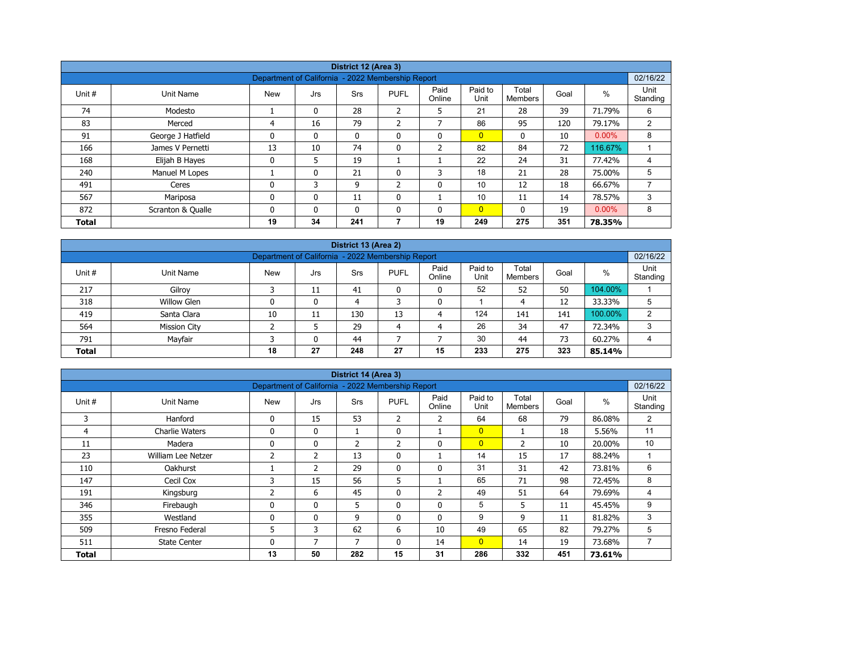|              |                   |                                                   |              | District 12 (Area 3) |                |                |                 |                         |      |          |                  |
|--------------|-------------------|---------------------------------------------------|--------------|----------------------|----------------|----------------|-----------------|-------------------------|------|----------|------------------|
|              |                   | Department of California - 2022 Membership Report |              |                      |                |                |                 |                         |      |          | 02/16/22         |
| Unit #       | Unit Name         | <b>New</b>                                        | Jrs          | <b>Srs</b>           | <b>PUFL</b>    | Paid<br>Online | Paid to<br>Unit | Total<br><b>Members</b> | Goal | %        | Unit<br>Standing |
| 74           | Modesto           |                                                   | $\mathbf{0}$ | 28                   | $\overline{2}$ | 5              | 21              | 28                      | 39   | 71.79%   | 6                |
| 83           | Merced            | 4                                                 | 16           | 79                   | 2              | $\overline{ }$ | 86              | 95                      | 120  | 79.17%   | 2                |
| 91           | George J Hatfield | $\mathbf{0}$                                      | 0            | $\mathbf{0}$         | 0              | $\mathbf{0}$   | $\overline{0}$  | $\mathbf{0}$            | 10   | $0.00\%$ | 8                |
| 166          | James V Pernetti  | 13                                                | 10           | 74                   | 0              | $\overline{2}$ | 82              | 84                      | 72   | 116.67%  |                  |
| 168          | Elijah B Hayes    | $\mathbf 0$                                       | 5            | 19                   |                |                | 22              | 24                      | 31   | 77.42%   | 4                |
| 240          | Manuel M Lopes    |                                                   | 0            | 21                   | 0              | 3              | 18              | 21                      | 28   | 75.00%   | 5                |
| 491          | Ceres             | $\mathbf{0}$                                      | 3            | 9                    | $\overline{2}$ | $\mathbf{0}$   | 10              | 12                      | 18   | 66.67%   |                  |
| 567          | Mariposa          | 0                                                 | 0            | 11                   | 0              |                | 10              | 11                      | 14   | 78.57%   | 3                |
| 872          | Scranton & Qualle | $\mathbf{0}$                                      | $\mathbf{0}$ | $\mathbf{0}$         | $\mathbf{0}$   | $\mathbf{0}$   | $\overline{0}$  | $\mathbf{0}$            | 19   | $0.00\%$ | 8                |
| <b>Total</b> |                   | 19                                                | 34           | 241                  | 7              | 19             | 249             | 275                     | 351  | 78.35%   |                  |

| District 13 (Area 2) |                                                                                                                                                  |    |    |     |    |    |     |     |     |         |   |  |  |  |  |
|----------------------|--------------------------------------------------------------------------------------------------------------------------------------------------|----|----|-----|----|----|-----|-----|-----|---------|---|--|--|--|--|
|                      | 02/16/22<br>Department of California - 2022 Membership Report                                                                                    |    |    |     |    |    |     |     |     |         |   |  |  |  |  |
| Unit #               | Paid<br>Paid to<br>Total<br>$\%$<br><b>PUFL</b><br><b>New</b><br>Unit Name<br><b>Srs</b><br>Goal<br>Jrs<br>Unit<br>Online<br>Standing<br>Members |    |    |     |    |    |     |     |     |         |   |  |  |  |  |
| 217                  | Gilroy                                                                                                                                           |    | 11 | 41  | 0  | 0  | 52  | 52  | 50  | 104.00% |   |  |  |  |  |
| 318                  | Willow Glen                                                                                                                                      | 0  | 0  | 4   |    | 0  |     | 4   | 12  | 33.33%  | 5 |  |  |  |  |
| 419                  | Santa Clara                                                                                                                                      | 10 | 11 | 130 | 13 | 4  | 124 | 141 | 141 | 100.00% | ົ |  |  |  |  |
| 564                  | <b>Mission City</b>                                                                                                                              |    |    | 29  | 4  | 4  | 26  | 34  | 47  | 72.34%  | 3 |  |  |  |  |
| 791                  | 30<br>Mayfair<br>73<br>44<br>60.27%<br>0<br>44                                                                                                   |    |    |     |    |    |     |     |     |         |   |  |  |  |  |
| <b>Total</b>         |                                                                                                                                                  | 18 | 27 | 248 | 27 | 15 | 233 | 275 | 323 | 85.14%  |   |  |  |  |  |

|        |                                                                                           |                |                | District 14 (Area 3) |              |                |                |                |      |        |                  |  |  |  |
|--------|-------------------------------------------------------------------------------------------|----------------|----------------|----------------------|--------------|----------------|----------------|----------------|------|--------|------------------|--|--|--|
|        | Department of California - 2022 Membership Report<br>02/16/22<br>Paid<br>Paid to<br>Total |                |                |                      |              |                |                |                |      |        |                  |  |  |  |
| Unit # | Unit Name                                                                                 | <b>New</b>     | Jrs            | <b>Srs</b>           | <b>PUFL</b>  | Online         | Unit           | <b>Members</b> | Goal | $\%$   | Unit<br>Standing |  |  |  |
| 3      | Hanford                                                                                   | 0              | 15             | 53                   | 2            | $\overline{2}$ | 64             | 68             | 79   | 86.08% | 2                |  |  |  |
| 4      | <b>Charlie Waters</b>                                                                     | 0              | $\mathbf{0}$   | $\mathbf{1}$         | $\mathbf{0}$ |                | $\overline{0}$ |                | 18   | 5.56%  | 11               |  |  |  |
| 11     | Madera                                                                                    | 0              | 0              | $\overline{2}$       | 2            | 0              | $\overline{0}$ | 2              | 10   | 20.00% | 10               |  |  |  |
| 23     | William Lee Netzer                                                                        | $\overline{2}$ | $\overline{2}$ | 13                   | $\mathbf{0}$ |                | 14             | 15             | 17   | 88.24% |                  |  |  |  |
| 110    | Oakhurst                                                                                  |                | $\overline{2}$ | 29                   | $\mathbf{0}$ | $\mathbf{0}$   | 31             | 31             | 42   | 73.81% | 6                |  |  |  |
| 147    | Cecil Cox                                                                                 | 3              | 15             | 56                   | 5            |                | 65             | 71             | 98   | 72.45% | 8                |  |  |  |
| 191    | Kingsburg                                                                                 | 2              | 6              | 45                   | 0            | $\overline{2}$ | 49             | 51             | 64   | 79.69% | 4                |  |  |  |
| 346    | Firebaugh                                                                                 | 0              | 0              | 5                    | 0            | 0              | 5              | 5              | 11   | 45.45% | 9                |  |  |  |
| 355    | Westland                                                                                  | 0              | 0              | 9                    | $\mathbf{0}$ | $\mathbf{0}$   | 9              | 9              | 11   | 81.82% | 3                |  |  |  |
| 509    | Fresno Federal                                                                            | 5              | 3              | 62                   | 6            | 10             | 49             | 65             | 82   | 79.27% | 5                |  |  |  |
| 511    | <b>State Center</b>                                                                       | 0              | 7              | 7                    | $\mathbf{0}$ | 14             | $\overline{0}$ | 14             | 19   | 73.68% | $\overline{7}$   |  |  |  |
| Total  |                                                                                           | 13             | 50             | 282                  | 15           | 31             | 286            | 332            | 451  | 73.61% |                  |  |  |  |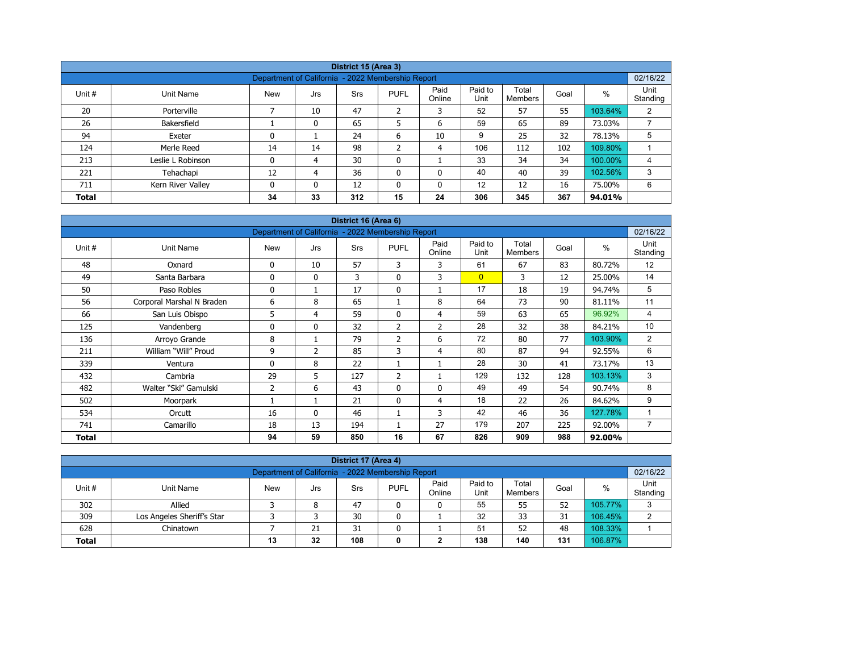|              |                   |                                                   |          | District 15 (Area 3) |                |                |                 |                  |      |         |                  |
|--------------|-------------------|---------------------------------------------------|----------|----------------------|----------------|----------------|-----------------|------------------|------|---------|------------------|
|              |                   | Department of California - 2022 Membership Report |          |                      |                |                |                 |                  |      |         | 02/16/22         |
| Unit #       | Unit Name         | <b>New</b>                                        | Jrs      | Srs                  | <b>PUFL</b>    | Paid<br>Online | Paid to<br>Unit | Total<br>Members | Goal | %       | Unit<br>Standing |
| 20           | Porterville       |                                                   | 10       | 47                   | $\overline{2}$ | 3              | 52              | 57               | 55   | 103.64% | 2                |
| 26           | Bakersfield       |                                                   | 0        | 65                   | 5              | 6              | 59              | 65               | 89   | 73.03%  | ⇁                |
| 94           | Exeter            | 0                                                 |          | 24                   | 6              | 10             | 9               | 25               | 32   | 78.13%  | 5                |
| 124          | Merle Reed        | 14                                                | 14       | 98                   | h<br>{         | 4              | 106             | 112              | 102  | 109.80% |                  |
| 213          | Leslie L Robinson | 0                                                 | 4        | 30                   | 0              |                | 33              | 34               | 34   | 100.00% | 4                |
| 221          | Tehachapi         | 12                                                | 4        | 36                   | 0              | 0              | 40              | 40               | 39   | 102.56% | 3                |
| 711          | Kern River Valley | 0                                                 | $\Omega$ | 12                   | $\mathbf{0}$   | 0              | 12              | 12               | 16   | 75.00%  | 6                |
| <b>Total</b> |                   | 34                                                | 33       | 312                  | 15             | 24             | 306             | 345              | 367  | 94.01%  |                  |

| District 16 (Area 6) |                           |                                                   |              |     |                |                |                 |                         |      |         |                  |  |  |
|----------------------|---------------------------|---------------------------------------------------|--------------|-----|----------------|----------------|-----------------|-------------------------|------|---------|------------------|--|--|
|                      |                           | Department of California - 2022 Membership Report |              |     |                |                |                 |                         |      |         | 02/16/22         |  |  |
| Unit #               | <b>Unit Name</b>          | <b>New</b>                                        | Jrs          | Srs | <b>PUFL</b>    | Paid<br>Online | Paid to<br>Unit | Total<br><b>Members</b> | Goal | $\%$    | Unit<br>Standing |  |  |
| 48                   | Oxnard                    | 0                                                 | 10           | 57  | 3              | 3              | 61              | 67                      | 83   | 80.72%  | 12               |  |  |
| 49                   | Santa Barbara             | 0                                                 | $\mathbf{0}$ | 3   | $\mathbf 0$    | 3              | $\overline{0}$  | 3                       | 12   | 25.00%  | 14               |  |  |
| 50                   | Paso Robles               | 0                                                 | 1            | 17  | $\mathbf 0$    |                | 17              | 18                      | 19   | 94.74%  | 5                |  |  |
| 56                   | Corporal Marshal N Braden | 6                                                 | 8            | 65  |                | 8              | 64              | 73                      | 90   | 81.11%  | 11               |  |  |
| 66                   | San Luis Obispo           | 5                                                 | 4            | 59  | $\mathbf{0}$   | 4              | 59              | 63                      | 65   | 96.92%  | 4                |  |  |
| 125                  | Vandenberg                | 0                                                 | $\mathbf{0}$ | 32  | $\overline{2}$ | $\overline{2}$ | 28              | 32                      | 38   | 84.21%  | 10               |  |  |
| 136                  | Arroyo Grande             | 8                                                 | 1            | 79  | $\overline{2}$ | 6              | 72              | 80                      | 77   | 103.90% | $\overline{2}$   |  |  |
| 211                  | William "Will" Proud      | 9                                                 | 2            | 85  | 3              | $\overline{4}$ | 80              | 87                      | 94   | 92.55%  | 6                |  |  |
| 339                  | Ventura                   | 0                                                 | 8            | 22  |                |                | 28              | 30                      | 41   | 73.17%  | 13               |  |  |
| 432                  | Cambria                   | 29                                                | 5            | 127 | 2              |                | 129             | 132                     | 128  | 103.13% | 3                |  |  |
| 482                  | Walter "Ski" Gamulski     | $\overline{2}$                                    | 6            | 43  | $\mathbf{0}$   | $\mathbf{0}$   | 49              | 49                      | 54   | 90.74%  | 8                |  |  |
| 502                  | Moorpark                  |                                                   | 1            | 21  | $\mathbf 0$    | 4              | 18              | 22                      | 26   | 84.62%  | 9                |  |  |
| 534                  | Orcutt                    | 16                                                | $\mathbf{0}$ | 46  |                | 3              | 42              | 46                      | 36   | 127.78% | 1                |  |  |
| 741                  | Camarillo                 | 18                                                | 13           | 194 |                | 27             | 179             | 207                     | 225  | 92.00%  | $\overline{7}$   |  |  |
| Total                |                           | 94                                                | 59           | 850 | 16             | 67             | 826             | 909                     | 988  | 92.00%  |                  |  |  |

| District 17 (Area 4)                                                                                                                            |                            |  |   |    |   |   |    |    |    |         |   |  |  |
|-------------------------------------------------------------------------------------------------------------------------------------------------|----------------------------|--|---|----|---|---|----|----|----|---------|---|--|--|
| 02/16/22<br>Department of California - 2022 Membership Report                                                                                   |                            |  |   |    |   |   |    |    |    |         |   |  |  |
| Paid<br>Paid to<br>Total<br>Unit#<br><b>PUFL</b><br>%<br><b>New</b><br>Goal<br>Unit Name<br>Srs<br>Jrs<br>Standing<br>Online<br>Unit<br>Members |                            |  |   |    |   |   |    |    |    |         |   |  |  |
| 302                                                                                                                                             | Allied                     |  | 8 | 47 |   | 0 | 55 | 55 | 52 | 105.77% | 3 |  |  |
| 309                                                                                                                                             | Los Angeles Sheriff's Star |  |   | 30 | 0 |   | 32 | 33 | 31 | 106.45% | ົ |  |  |
| 108.33%<br>52<br>51<br>628<br>21<br>31<br>48<br>Chinatown                                                                                       |                            |  |   |    |   |   |    |    |    |         |   |  |  |
| 138<br>106.87%<br>108<br>131<br>32<br>140<br>13<br><b>Total</b><br>0                                                                            |                            |  |   |    |   |   |    |    |    |         |   |  |  |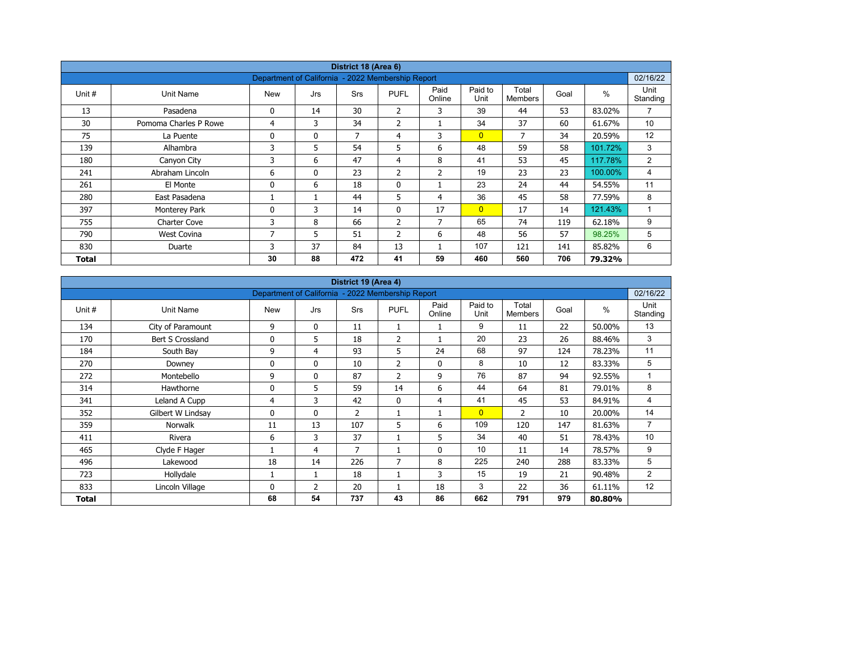| District 18 (Area 6) |                       |                                                   |              |            |                |                |                 |                         |      |         |                  |  |  |
|----------------------|-----------------------|---------------------------------------------------|--------------|------------|----------------|----------------|-----------------|-------------------------|------|---------|------------------|--|--|
|                      |                       | Department of California - 2022 Membership Report |              |            |                |                |                 |                         |      |         | 02/16/22         |  |  |
| Unit #               | Unit Name             | <b>New</b>                                        | Jrs          | <b>Srs</b> | <b>PUFL</b>    | Paid<br>Online | Paid to<br>Unit | Total<br><b>Members</b> | Goal | $\%$    | Unit<br>Standing |  |  |
| 13                   | Pasadena              | 0                                                 | 14           | 30         | $\overline{2}$ | 3              | 39              | 44                      | 53   | 83.02%  | $\overline{7}$   |  |  |
| 30                   | Pomoma Charles P Rowe | 4                                                 | 3            | 34         | $\overline{2}$ |                | 34              | 37                      | 60   | 61.67%  | 10               |  |  |
| 75                   | La Puente             | 0                                                 | $\mathbf{0}$ | 7          | 4              | 3              | $\overline{0}$  | 7                       | 34   | 20.59%  | 12               |  |  |
| 139                  | Alhambra              | 3                                                 | 5            | 54         | 5              | 6              | 48              | 59                      | 58   | 101.72% | 3                |  |  |
| 180                  | Canyon City           | 3                                                 | 6            | 47         | 4              | 8              | 41              | 53                      | 45   | 117.78% | 2                |  |  |
| 241                  | Abraham Lincoln       | 6                                                 | $\mathbf{0}$ | 23         | 2              | $\overline{2}$ | 19              | 23                      | 23   | 100.00% | 4                |  |  |
| 261                  | El Monte              | 0                                                 | 6            | 18         | $\mathbf 0$    |                | 23              | 24                      | 44   | 54.55%  | 11               |  |  |
| 280                  | East Pasadena         |                                                   |              | 44         | 5              | 4              | 36              | 45                      | 58   | 77.59%  | 8                |  |  |
| 397                  | Monterey Park         | 0                                                 | 3            | 14         | $\mathbf{0}$   | 17             | $\overline{0}$  | 17                      | 14   | 121.43% | $\mathbf{1}$     |  |  |
| 755                  | <b>Charter Cove</b>   | 3                                                 | 8            | 66         | $\overline{2}$ | $\overline{7}$ | 65              | 74                      | 119  | 62.18%  | 9                |  |  |
| 790                  | <b>West Covina</b>    | 7                                                 | 5            | 51         | $\overline{2}$ | 6              | 48              | 56                      | 57   | 98.25%  | 5                |  |  |
| 830                  | Duarte                | 3                                                 | 37           | 84         | 13             |                | 107             | 121                     | 141  | 85.82%  | 6                |  |  |
| Total                |                       | 30                                                | 88           | 472        | 41             | 59             | 460             | 560                     | 706  | 79.32%  |                  |  |  |

| District 19 (Area 4)<br>Department of California - 2022 Membership Report |                   |            |              |                |                |                |                 |                         |      |               |                  |  |  |
|---------------------------------------------------------------------------|-------------------|------------|--------------|----------------|----------------|----------------|-----------------|-------------------------|------|---------------|------------------|--|--|
|                                                                           |                   |            |              |                |                |                |                 |                         |      |               | 02/16/22         |  |  |
| Unit #                                                                    | Unit Name         | <b>New</b> | Jrs          | Srs            | <b>PUFL</b>    | Paid<br>Online | Paid to<br>Unit | Total<br><b>Members</b> | Goal | $\frac{0}{0}$ | Unit<br>Standing |  |  |
| 134                                                                       | City of Paramount | 9          | $\mathbf{0}$ | 11             | 1              |                | 9               | 11                      | 22   | 50.00%        | 13               |  |  |
| 170                                                                       | Bert S Crossland  | 0          | 5            | 18             | $\overline{2}$ |                | 20              | 23                      | 26   | 88.46%        | 3                |  |  |
| 184                                                                       | South Bay         | 9          | 4            | 93             | 5              | 24             | 68              | 97                      | 124  | 78.23%        | 11               |  |  |
| 270                                                                       | Downey            | 0          | $\mathbf{0}$ | 10             | $\overline{2}$ | $\mathbf 0$    | 8               | 10                      | 12   | 83.33%        | 5                |  |  |
| 272                                                                       | Montebello        | 9          | $\mathbf{0}$ | 87             | $\overline{2}$ | 9              | 76              | 87                      | 94   | 92.55%        | $\mathbf{1}$     |  |  |
| 314                                                                       | Hawthorne         | 0          | 5            | 59             | 14             | 6              | 44              | 64                      | 81   | 79.01%        | 8                |  |  |
| 341                                                                       | Leland A Cupp     | 4          | 3            | 42             | $\mathbf{0}$   | 4              | 41              | 45                      | 53   | 84.91%        | 4                |  |  |
| 352                                                                       | Gilbert W Lindsay | 0          | $\mathbf{0}$ | $\overline{2}$ |                | $\mathbf{1}$   | $\overline{0}$  | $\overline{2}$          | 10   | 20.00%        | 14               |  |  |
| 359                                                                       | <b>Norwalk</b>    | 11         | 13           | 107            | 5              | 6              | 109             | 120                     | 147  | 81.63%        | $\overline{7}$   |  |  |
| 411                                                                       | Rivera            | 6          | 3            | 37             |                | 5              | 34              | 40                      | 51   | 78.43%        | 10               |  |  |
| 465                                                                       | Clyde F Hager     |            | 4            | 7              |                | $\mathbf 0$    | 10              | 11                      | 14   | 78.57%        | 9                |  |  |
| 496                                                                       | Lakewood          | 18         | 14           | 226            | 7              | 8              | 225             | 240                     | 288  | 83.33%        | 5                |  |  |
| 723                                                                       | Hollydale         |            | 1            | 18             |                | 3              | 15              | 19                      | 21   | 90.48%        | $\overline{2}$   |  |  |
| 833                                                                       | Lincoln Village   | 0          | 2            | 20             |                | 18             | 3               | 22                      | 36   | 61.11%        | 12               |  |  |
| Total                                                                     |                   | 68         | 54           | 737            | 43             | 86             | 662             | 791                     | 979  | 80.80%        |                  |  |  |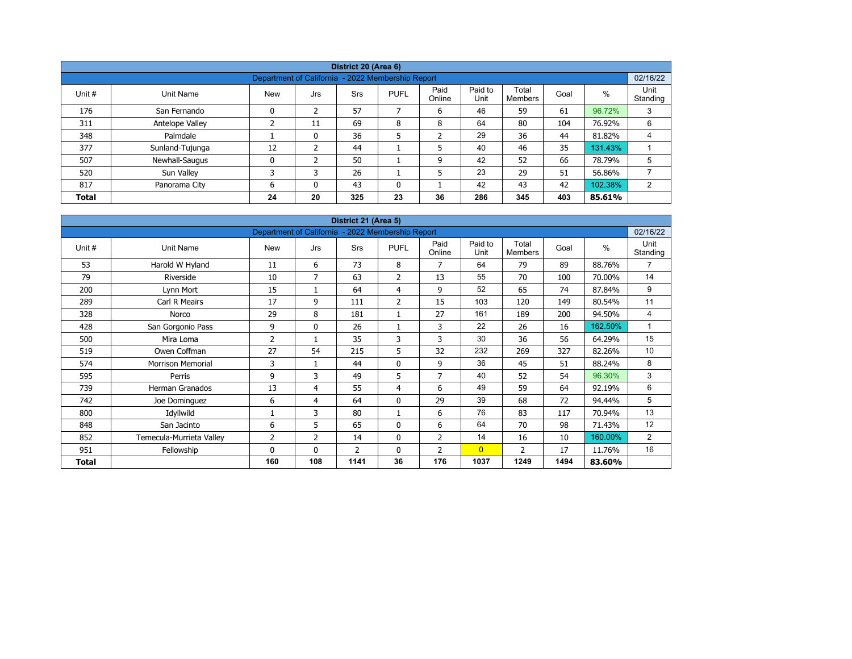| District 20 (Area 6) |                 |                                                   |                |     |             |                |                 |                         |      |         |                  |  |  |  |
|----------------------|-----------------|---------------------------------------------------|----------------|-----|-------------|----------------|-----------------|-------------------------|------|---------|------------------|--|--|--|
|                      |                 | Department of California - 2022 Membership Report |                |     |             |                |                 |                         |      |         | 02/16/22         |  |  |  |
| Unit #               | Unit Name       | <b>New</b>                                        | Jrs            | Srs | <b>PUFL</b> | Paid<br>Online | Paid to<br>Unit | Total<br><b>Members</b> | Goal | $\%$    | Unit<br>Standing |  |  |  |
| 176                  | San Fernando    | 0                                                 | $\overline{2}$ | 57  |             | 6              | 46              | 59                      | 61   | 96.72%  | 3                |  |  |  |
| 311                  | Antelope Valley |                                                   | 11             | 69  | 8           | 8              | 64              | 80                      | 104  | 76.92%  | 6                |  |  |  |
| 348                  | Palmdale        |                                                   | 0              | 36  | 5           | ำ<br>∠         | 29              | 36                      | 44   | 81.82%  | 4                |  |  |  |
| 377                  | Sunland-Tujunga | 12                                                | 2              | 44  |             | 5              | 40              | 46                      | 35   | 131.43% |                  |  |  |  |
| 507                  | Newhall-Saugus  | 0                                                 | 2              | 50  |             | 9              | 42              | 52                      | 66   | 78.79%  | 5                |  |  |  |
| 520                  | Sun Valley      | 3                                                 | 3              | 26  |             | 5              | 23              | 29                      | 51   | 56.86%  |                  |  |  |  |
| 817                  | Panorama City   | 6                                                 | 0              | 43  | 0           |                | 42              | 43                      | 42   | 102.38% | 2                |  |  |  |
| <b>Total</b>         |                 | 24                                                | 20             | 325 | 23          | 36             | 286             | 345                     | 403  | 85.61%  |                  |  |  |  |

| District 21 (Area 5) |                          |                                                   |                |                |                |                |                 |                         |      |               |                  |  |  |  |
|----------------------|--------------------------|---------------------------------------------------|----------------|----------------|----------------|----------------|-----------------|-------------------------|------|---------------|------------------|--|--|--|
|                      |                          | Department of California - 2022 Membership Report |                |                |                |                |                 |                         |      |               | 02/16/22         |  |  |  |
| Unit #               | Unit Name                | <b>New</b>                                        | Jrs            | <b>Srs</b>     | <b>PUFL</b>    | Paid<br>Online | Paid to<br>Unit | Total<br><b>Members</b> | Goal | $\frac{0}{0}$ | Unit<br>Standing |  |  |  |
| 53                   | Harold W Hyland          | 11                                                | 6              | 73             | 8              | 7              | 64              | 79                      | 89   | 88.76%        | $\overline{7}$   |  |  |  |
| 79                   | Riverside                | 10                                                | $\overline{7}$ | 63             | 2              | 13             | 55              | 70                      | 100  | 70.00%        | 14               |  |  |  |
| 200                  | Lynn Mort                | 15                                                | 1              | 64             | 4              | 9              | 52              | 65                      | 74   | 87.84%        | 9                |  |  |  |
| 289                  | Carl R Meairs            | 17                                                | 9              | 111            | $\overline{2}$ | 15             | 103             | 120                     | 149  | 80.54%        | 11               |  |  |  |
| 328                  | Norco                    | 29                                                | 8              | 181            | $\mathbf{1}$   | 27             | 161             | 189                     | 200  | 94.50%        | 4                |  |  |  |
| 428                  | San Gorgonio Pass        | 9                                                 | $\mathbf{0}$   | 26             |                | 3              | 22              | 26                      | 16   | 162.50%       | 1                |  |  |  |
| 500                  | Mira Loma                | $\overline{2}$                                    | 1              | 35             | 3              | 3              | 30              | 36                      | 56   | 64.29%        | 15               |  |  |  |
| 519                  | Owen Coffman             | 27                                                | 54             | 215            | 5              | 32             | 232             | 269                     | 327  | 82.26%        | 10               |  |  |  |
| 574                  | <b>Morrison Memorial</b> | 3                                                 | 1              | 44             | $\mathbf{0}$   | 9              | 36              | 45                      | 51   | 88.24%        | 8                |  |  |  |
| 595                  | Perris                   | 9                                                 | 3              | 49             | 5              | $\overline{7}$ | 40              | 52                      | 54   | 96.30%        | 3                |  |  |  |
| 739                  | <b>Herman Granados</b>   | 13                                                | 4              | 55             | 4              | 6              | 49              | 59                      | 64   | 92.19%        | 6                |  |  |  |
| 742                  | Joe Dominguez            | 6                                                 | 4              | 64             | 0              | 29             | 39              | 68                      | 72   | 94.44%        | 5                |  |  |  |
| 800                  | Idyllwild                |                                                   | 3              | 80             |                | 6              | 76              | 83                      | 117  | 70.94%        | 13               |  |  |  |
| 848                  | San Jacinto              | 6                                                 | 5              | 65             | $\mathbf{0}$   | 6              | 64              | 70                      | 98   | 71.43%        | 12               |  |  |  |
| 852                  | Temecula-Murrieta Valley | $\overline{2}$                                    | 2              | 14             | 0              | $\overline{2}$ | 14              | 16                      | 10   | 160.00%       | $\overline{2}$   |  |  |  |
| 951                  | Fellowship               | $\mathbf{0}$                                      | $\mathbf{0}$   | $\overline{2}$ | $\mathbf{0}$   | 2              | $\overline{0}$  | $\overline{2}$          | 17   | 11.76%        | 16               |  |  |  |
| <b>Total</b>         |                          | 160                                               | 108            | 1141           | 36             | 176            | 1037            | 1249                    | 1494 | 83.60%        |                  |  |  |  |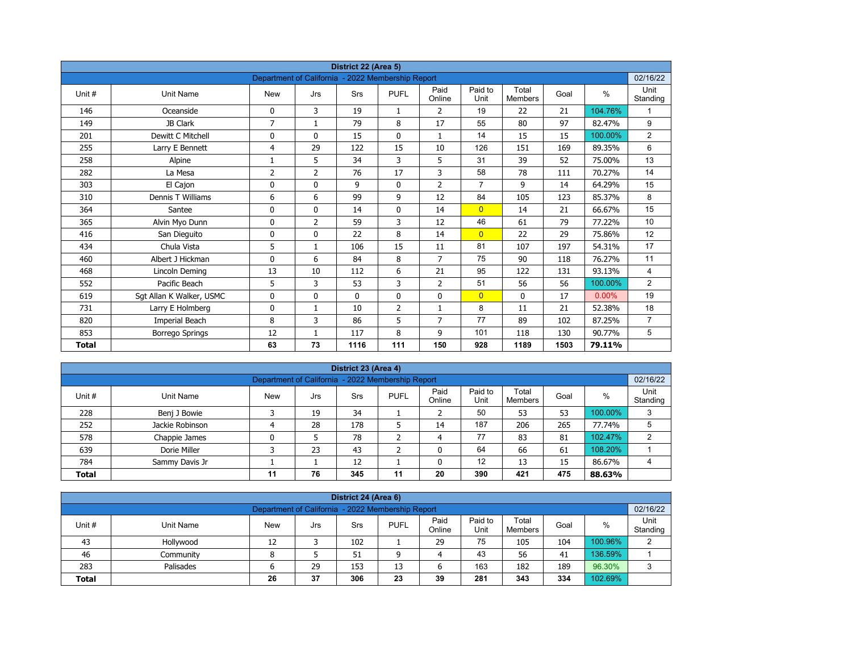| District 22 (Area 5)<br>Department of California - 2022 Membership Report |                          |                |                |             |                |                |                 |                         |      |          |                  |  |  |
|---------------------------------------------------------------------------|--------------------------|----------------|----------------|-------------|----------------|----------------|-----------------|-------------------------|------|----------|------------------|--|--|
|                                                                           |                          |                |                |             |                |                |                 |                         |      |          | 02/16/22         |  |  |
| Unit#                                                                     | <b>Unit Name</b>         | <b>New</b>     | Jrs            | Srs         | <b>PUFL</b>    | Paid<br>Online | Paid to<br>Unit | Total<br><b>Members</b> | Goal | $\%$     | Unit<br>Standing |  |  |
| 146                                                                       | Oceanside                | 0              | 3              | 19          | $\mathbf{1}$   | 2              | 19              | 22                      | 21   | 104.76%  | 1                |  |  |
| 149                                                                       | JB Clark                 | $\overline{7}$ | $\mathbf{1}$   | 79          | 8              | 17             | 55              | 80                      | 97   | 82.47%   | 9                |  |  |
| 201                                                                       | Dewitt C Mitchell        | 0              | $\mathbf{0}$   | 15          | $\mathbf{0}$   | $\mathbf{1}$   | 14              | 15                      | 15   | 100.00%  | $\overline{2}$   |  |  |
| 255                                                                       | Larry E Bennett          | 4              | 29             | 122         | 15             | 10             | 126             | 151                     | 169  | 89.35%   | 6                |  |  |
| 258                                                                       | Alpine                   | 1              | 5              | 34          | 3              | 5              | 31              | 39                      | 52   | 75.00%   | 13               |  |  |
| 282                                                                       | La Mesa                  | 2              | $\overline{2}$ | 76          | 17             | 3              | 58              | 78                      | 111  | 70.27%   | 14               |  |  |
| 303                                                                       | El Cajon                 | 0              | 0              | 9           | $\mathbf 0$    | $\overline{2}$ | $\overline{7}$  | 9                       | 14   | 64.29%   | 15               |  |  |
| 310                                                                       | Dennis T Williams        | 6              | 6              | 99          | 9              | 12             | 84              | 105                     | 123  | 85.37%   | 8                |  |  |
| 364                                                                       | Santee                   | 0              | 0              | 14          | 0              | 14             | $\overline{0}$  | 14                      | 21   | 66.67%   | 15               |  |  |
| 365                                                                       | Alvin Myo Dunn           | 0              | $\overline{2}$ | 59          | 3              | 12             | 46              | 61                      | 79   | 77.22%   | 10               |  |  |
| 416                                                                       | San Dieguito             | 0              | $\Omega$       | 22          | 8              | 14             | $\overline{0}$  | 22                      | 29   | 75.86%   | 12               |  |  |
| 434                                                                       | Chula Vista              | 5              | $\mathbf{1}$   | 106         | 15             | 11             | 81              | 107                     | 197  | 54.31%   | 17               |  |  |
| 460                                                                       | Albert J Hickman         | 0              | 6              | 84          | 8              | $\overline{7}$ | 75              | 90                      | 118  | 76.27%   | 11               |  |  |
| 468                                                                       | Lincoln Deming           | 13             | 10             | 112         | 6              | 21             | 95              | 122                     | 131  | 93.13%   | $\overline{4}$   |  |  |
| 552                                                                       | Pacific Beach            | 5              | 3              | 53          | 3              | $\overline{2}$ | 51              | 56                      | 56   | 100.00%  | $\overline{2}$   |  |  |
| 619                                                                       | Sgt Allan K Walker, USMC | 0              | 0              | $\mathbf 0$ | $\mathbf 0$    | 0              | $\overline{0}$  | 0                       | 17   | $0.00\%$ | 19               |  |  |
| 731                                                                       | Larry E Holmberg         | 0              | $\mathbf{1}$   | 10          | $\overline{2}$ | $\mathbf{1}$   | 8               | 11                      | 21   | 52.38%   | 18               |  |  |
| 820                                                                       | Imperial Beach           | 8              | 3              | 86          | 5              | 7              | 77              | 89                      | 102  | 87.25%   | $\overline{7}$   |  |  |
| 853                                                                       | <b>Borrego Springs</b>   | 12             | 1              | 117         | 8              | 9              | 101             | 118                     | 130  | 90.77%   | 5                |  |  |
| <b>Total</b>                                                              |                          | 63             | 73             | 1116        | 111            | 150            | 928             | 1189                    | 1503 | 79.11%   |                  |  |  |

| District 23 (Area 4)<br>02/16/22 |                                                   |            |     |     |             |                |                 |                  |      |         |                  |  |  |  |  |
|----------------------------------|---------------------------------------------------|------------|-----|-----|-------------|----------------|-----------------|------------------|------|---------|------------------|--|--|--|--|
|                                  | Department of California - 2022 Membership Report |            |     |     |             |                |                 |                  |      |         |                  |  |  |  |  |
| Unit#                            | Unit Name                                         | <b>New</b> | Jrs | Srs | <b>PUFL</b> | Paid<br>Online | Paid to<br>Unit | Total<br>Members | Goal | %       | Unit<br>Standing |  |  |  |  |
| 228                              | Benj J Bowie                                      |            | 19  | 34  |             |                | 50              | 53               | 53   | 100.00% | 3                |  |  |  |  |
| 252                              | Jackie Robinson                                   | 4          | 28  | 178 | ∍           | 14             | 187             | 206              | 265  | 77.74%  | 5                |  |  |  |  |
| 578                              | Chappie James                                     | 0          |     | 78  |             | 4              | 77              | 83               | 81   | 102.47% | っ                |  |  |  |  |
| 639                              | Dorie Miller                                      |            | 23  | 43  | ∍           |                | 64              | 66               | 61   | 108.20% |                  |  |  |  |  |
| 784                              | Sammy Davis Jr                                    |            |     | 12  |             | 0              | 12              | 13               | 15   | 86.67%  | 4                |  |  |  |  |
| <b>Total</b>                     |                                                   | 11         | 76  | 345 | 11          | 20             | 390             | 421              | 475  | 88.63%  |                  |  |  |  |  |

| District 24 (Area 6)                                                                                                                             |                                                                  |    |  |     |   |    |    |     |     |         |   |  |  |  |  |
|--------------------------------------------------------------------------------------------------------------------------------------------------|------------------------------------------------------------------|----|--|-----|---|----|----|-----|-----|---------|---|--|--|--|--|
|                                                                                                                                                  | 02/16/22<br>Department of California - 2022 Membership Report    |    |  |     |   |    |    |     |     |         |   |  |  |  |  |
| Paid<br>Paid to<br>Total<br>Unit #<br><b>PUFL</b><br>%<br>Goal<br>Unit Name<br><b>New</b><br>Srs<br>Jrs<br>Standing<br>Online<br>Unit<br>Members |                                                                  |    |  |     |   |    |    |     |     |         |   |  |  |  |  |
| 43                                                                                                                                               | Hollywood                                                        | 12 |  | 102 |   | 29 | 75 | 105 | 104 | 100.96% | C |  |  |  |  |
| 46                                                                                                                                               | Community                                                        | 8  |  | 51  | a | 4  | 43 | 56  | 41  | 136.59% |   |  |  |  |  |
| 283                                                                                                                                              | 163<br>96.30%<br>189<br>29<br>153<br>182<br>Palisades<br>13<br>ь |    |  |     |   |    |    |     |     |         |   |  |  |  |  |
| 102.69%<br>281<br>37<br>306<br>334<br>23<br>343<br>39<br>26<br><b>Total</b>                                                                      |                                                                  |    |  |     |   |    |    |     |     |         |   |  |  |  |  |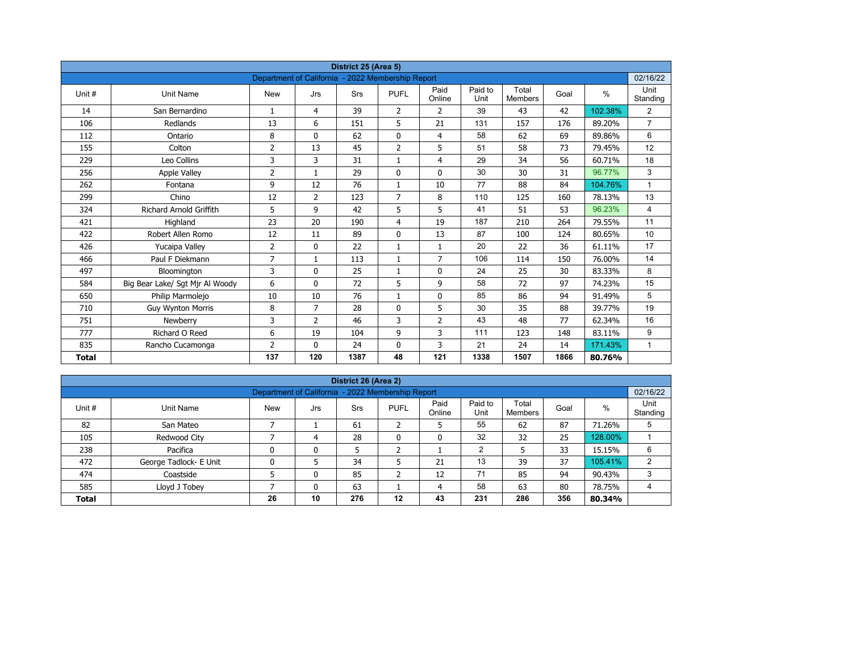| District 25 (Area 5)<br>Department of California - 2022 Membership Report |                                 |                |                |            |                |                |                 |                         |      |         |                  |  |  |
|---------------------------------------------------------------------------|---------------------------------|----------------|----------------|------------|----------------|----------------|-----------------|-------------------------|------|---------|------------------|--|--|
|                                                                           |                                 |                |                |            |                |                |                 |                         |      |         | 02/16/22         |  |  |
| Unit #                                                                    | Unit Name                       | <b>New</b>     | Jrs            | <b>Srs</b> | <b>PUFL</b>    | Paid<br>Online | Paid to<br>Unit | Total<br><b>Members</b> | Goal | $\%$    | Unit<br>Standing |  |  |
| 14                                                                        | San Bernardino                  | $\mathbf{1}$   | 4              | 39         | $\overline{2}$ | $\overline{2}$ | 39              | 43                      | 42   | 102.38% | $\overline{2}$   |  |  |
| 106                                                                       | Redlands                        | 13             | 6              | 151        | 5              | 21             | 131             | 157                     | 176  | 89.20%  | $\overline{7}$   |  |  |
| 112                                                                       | Ontario                         | 8              | $\Omega$       | 62         | $\mathbf 0$    | $\overline{4}$ | 58              | 62                      | 69   | 89.86%  | 6                |  |  |
| 155                                                                       | Colton                          | $\overline{2}$ | 13             | 45         | $\overline{2}$ | 5              | 51              | 58                      | 73   | 79.45%  | 12               |  |  |
| 229                                                                       | Leo Collins                     | 3              | 3              | 31         | $\mathbf{1}$   | $\overline{4}$ | 29              | 34                      | 56   | 60.71%  | 18               |  |  |
| 256                                                                       | <b>Apple Valley</b>             | 2              | $\mathbf{1}$   | 29         | $\mathbf{0}$   | $\mathbf{0}$   | 30              | 30                      | 31   | 96.77%  | 3                |  |  |
| 262                                                                       | Fontana                         | 9              | 12             | 76         | $\mathbf{1}$   | 10             | 77              | 88                      | 84   | 104.76% | $\mathbf{1}$     |  |  |
| 299                                                                       | Chino                           | 12             | $\overline{2}$ | 123        | $\overline{7}$ | 8              | 110             | 125                     | 160  | 78.13%  | 13               |  |  |
| 324                                                                       | <b>Richard Arnold Griffith</b>  | 5              | 9              | 42         | 5              | 5              | 41              | 51                      | 53   | 96.23%  | 4                |  |  |
| 421                                                                       | Highland                        | 23             | 20             | 190        | 4              | 19             | 187             | 210                     | 264  | 79.55%  | 11               |  |  |
| 422                                                                       | Robert Allen Romo               | 12             | 11             | 89         | $\mathbf{0}$   | 13             | 87              | 100                     | 124  | 80.65%  | 10               |  |  |
| 426                                                                       | Yucaipa Valley                  | $\overline{2}$ | 0              | 22         | $\mathbf{1}$   | $\mathbf{1}$   | 20              | 22                      | 36   | 61.11%  | 17               |  |  |
| 466                                                                       | Paul F Diekmann                 | $\overline{7}$ | $\mathbf{1}$   | 113        | $\mathbf{1}$   | $\overline{7}$ | 106             | 114                     | 150  | 76.00%  | 14               |  |  |
| 497                                                                       | Bloomington                     | 3              | 0              | 25         | $\mathbf{1}$   | $\mathbf 0$    | 24              | 25                      | 30   | 83.33%  | 8                |  |  |
| 584                                                                       | Big Bear Lake/ Sgt Mjr Al Woody | 6              | $\mathbf{0}$   | 72         | 5              | 9              | 58              | 72                      | 97   | 74.23%  | 15               |  |  |
| 650                                                                       | Philip Marmolejo                | 10             | 10             | 76         | $\mathbf{1}$   | $\mathbf 0$    | 85              | 86                      | 94   | 91.49%  | 5                |  |  |
| 710                                                                       | <b>Guy Wynton Morris</b>        | 8              | $\overline{7}$ | 28         | $\mathbf{0}$   | 5              | 30              | 35                      | 88   | 39.77%  | 19               |  |  |
| 751                                                                       | Newberry                        | 3              | $\overline{2}$ | 46         | 3              | $\overline{2}$ | 43              | 48                      | 77   | 62.34%  | 16               |  |  |
| 777                                                                       | Richard O Reed                  | 6              | 19             | 104        | 9              | 3              | 111             | 123                     | 148  | 83.11%  | 9                |  |  |
| 835                                                                       | Rancho Cucamonga                | $\overline{2}$ | $\mathbf{0}$   | 24         | 0              | 3              | 21              | 24                      | 14   | 171.43% | $\mathbf{1}$     |  |  |
| <b>Total</b>                                                              |                                 | 137            | 120            | 1387       | 48             | 121            | 1338            | 1507                    | 1866 | 80.76%  |                  |  |  |

| District 26 (Area 2) |                                                               |            |     |     |              |                |                 |                         |      |         |                  |  |  |  |  |
|----------------------|---------------------------------------------------------------|------------|-----|-----|--------------|----------------|-----------------|-------------------------|------|---------|------------------|--|--|--|--|
|                      | 02/16/22<br>Department of California - 2022 Membership Report |            |     |     |              |                |                 |                         |      |         |                  |  |  |  |  |
| Unit #               | Unit Name                                                     | <b>New</b> | Jrs | Srs | <b>PUFL</b>  | Paid<br>Online | Paid to<br>Unit | Total<br><b>Members</b> | Goal | %       | Unit<br>Standing |  |  |  |  |
| 82                   | San Mateo                                                     |            |     | 61  | h<br>∠       | כ              | 55              | 62                      | 87   | 71.26%  | 5                |  |  |  |  |
| 105                  | Redwood City                                                  |            | 4   | 28  | $\mathbf{0}$ | 0              | 32              | 32                      | 25   | 128.00% |                  |  |  |  |  |
| 238                  | Pacifica                                                      | 0          | 0   | 5   | h            |                | 2               |                         | 33   | 15.15%  | 6                |  |  |  |  |
| 472                  | George Tadlock- E Unit                                        | 0          |     | 34  |              | 21             | 13              | 39                      | 37   | 105.41% | $\overline{2}$   |  |  |  |  |
| 474                  | Coastside                                                     |            | 0   | 85  | h<br>∠       | 12             | 71              | 85                      | 94   | 90.43%  | 3                |  |  |  |  |
| 585                  | Lloyd J Tobey                                                 |            | 0   | 63  |              | 4              | 58              | 63                      | 80   | 78.75%  | 4                |  |  |  |  |
| <b>Total</b>         |                                                               | 26         | 10  | 276 | $12 \,$      | 43             | 231             | 286                     | 356  | 80.34%  |                  |  |  |  |  |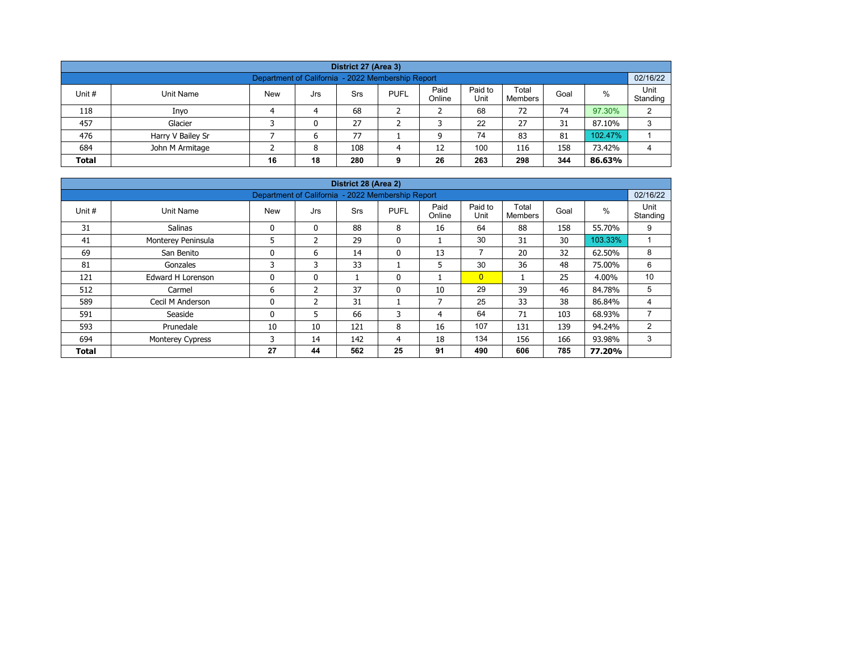| District 27 (Area 3)                                                                                                                                    |                   |  |   |    |  |  |    |    |    |         |   |  |  |  |
|---------------------------------------------------------------------------------------------------------------------------------------------------------|-------------------|--|---|----|--|--|----|----|----|---------|---|--|--|--|
| Department of California - 2022 Membership Report                                                                                                       |                   |  |   |    |  |  |    |    |    |         |   |  |  |  |
| Paid<br>Paid to<br>Total<br>%<br>Unit #<br><b>New</b><br><b>PUFL</b><br>Unit Name<br>Srs<br>Goal<br>Jrs<br>Unit<br>Online<br>Standing<br><b>Members</b> |                   |  |   |    |  |  |    |    |    |         |   |  |  |  |
| 118                                                                                                                                                     | Inyo              |  | 4 | 68 |  |  | 68 | 72 | 74 | 97.30%  | C |  |  |  |
| 457                                                                                                                                                     | Glacier           |  | 0 | 27 |  |  | 22 | 27 | 31 | 87.10%  | 3 |  |  |  |
| 476                                                                                                                                                     | Harry V Bailey Sr |  | 6 | 77 |  |  | 74 | 83 | 81 | 102.47% |   |  |  |  |
| 100<br>684<br>158<br>John M Armitage<br>108<br>12<br>73.42%<br>116<br>8<br>4                                                                            |                   |  |   |    |  |  |    |    |    |         |   |  |  |  |
| 18<br>263<br>298<br>344<br>26<br><b>Total</b><br>16<br>280<br>86.63%<br>9                                                                               |                   |  |   |    |  |  |    |    |    |         |   |  |  |  |

| District 28 (Area 2) |                          |                                                   |               |     |              |                |                 |                         |      |         |                  |  |  |  |
|----------------------|--------------------------|---------------------------------------------------|---------------|-----|--------------|----------------|-----------------|-------------------------|------|---------|------------------|--|--|--|
|                      |                          | Department of California - 2022 Membership Report |               |     |              |                |                 |                         |      |         | 02/16/22         |  |  |  |
| Unit #               | Unit Name                | <b>New</b>                                        | Jrs           | Srs | <b>PUFL</b>  | Paid<br>Online | Paid to<br>Unit | Total<br><b>Members</b> | Goal | $\%$    | Unit<br>Standing |  |  |  |
| 31                   | Salinas                  | $\mathbf 0$                                       | $\mathbf{0}$  | 88  | 8            | 16             | 64              | 88                      | 158  | 55.70%  | 9                |  |  |  |
| 41                   | Monterey Peninsula       | 5                                                 | $\mathcal{P}$ | 29  | $\mathbf{0}$ |                | 30              | 31                      | 30   | 103.33% |                  |  |  |  |
| 69                   | San Benito               | $\mathbf{0}$                                      | 6             | 14  | $\mathbf{0}$ | 13             | $\overline{ }$  | 20                      | 32   | 62.50%  | 8                |  |  |  |
| 81                   | Gonzales                 | 3                                                 | 3             | 33  |              | 5              | 30              | 36                      | 48   | 75.00%  | 6                |  |  |  |
| 121                  | <b>Edward H Lorenson</b> | 0                                                 | $\mathbf{0}$  |     | 0            |                | $\overline{0}$  |                         | 25   | 4.00%   | 10               |  |  |  |
| 512                  | Carmel                   | 6                                                 | 2             | 37  | $\mathbf{0}$ | 10             | 29              | 39                      | 46   | 84.78%  | 5                |  |  |  |
| 589                  | Cecil M Anderson         | 0                                                 | 2             | 31  |              | 7              | 25              | 33                      | 38   | 86.84%  | 4                |  |  |  |
| 591                  | Seaside                  | $\Omega$                                          | 5.            | 66  | 3            | 4              | 64              | 71                      | 103  | 68.93%  | $\overline{7}$   |  |  |  |
| 593                  | Prunedale                | 10                                                | 10            | 121 | 8            | 16             | 107             | 131                     | 139  | 94.24%  | 2                |  |  |  |
| 694                  | <b>Monterey Cypress</b>  | 3                                                 | 14            | 142 | 4            | 18             | 134             | 156                     | 166  | 93.98%  | 3                |  |  |  |
| <b>Total</b>         |                          | 27                                                | 44            | 562 | 25           | 91             | 490             | 606                     | 785  | 77.20%  |                  |  |  |  |